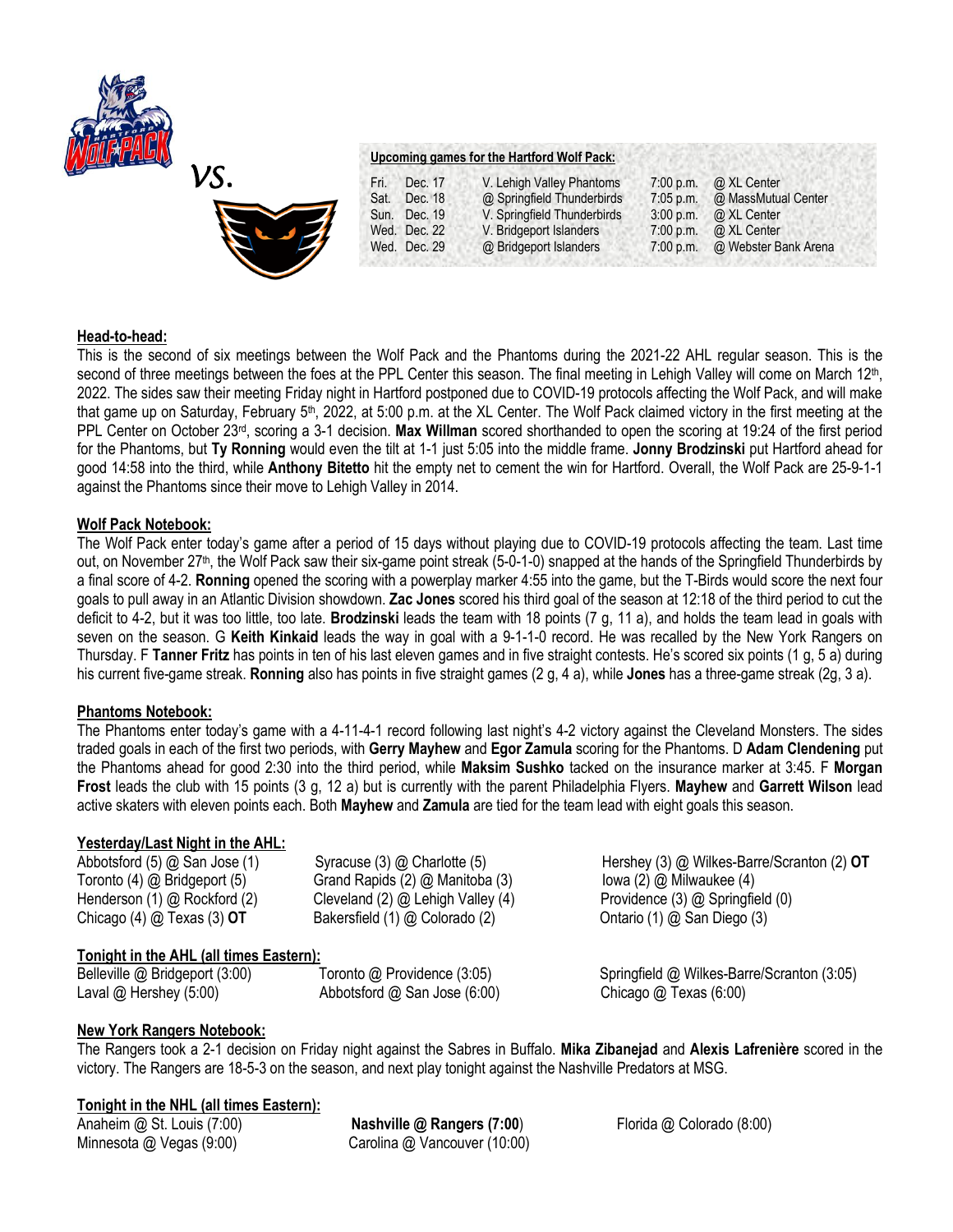



## **Upcoming games for the Hartford Wolf Pack:**

| Fri. | Dec. 17      | V. Lehigh Valley Phantoms   | $7:00$ p.m. | @ XL Center          |
|------|--------------|-----------------------------|-------------|----------------------|
| Sat. | Dec. 18      | @ Springfield Thunderbirds  | $7:05$ p.m. | @ MassMutual Center  |
|      | Sun. Dec. 19 | V. Springfield Thunderbirds | 3:00 p.m.   | @ XL Center          |
|      | Wed. Dec. 22 | V. Bridgeport Islanders     | 7:00 p.m.   | @ XL Center          |
|      | Wed. Dec. 29 | @ Bridgeport Islanders      | $7:00$ p.m. | @ Webster Bank Arena |

#### **Head-to-head:**

This is the second of six meetings between the Wolf Pack and the Phantoms during the 2021-22 AHL regular season. This is the second of three meetings between the foes at the PPL Center this season. The final meeting in Lehigh Valley will come on March 12<sup>th</sup>, 2022. The sides saw their meeting Friday night in Hartford postponed due to COVID-19 protocols affecting the Wolf Pack, and will make that game up on Saturday, February 5<sup>th</sup>, 2022, at 5:00 p.m. at the XL Center. The Wolf Pack claimed victory in the first meeting at the PPL Center on October 23rd, scoring a 3-1 decision. **Max Willman** scored shorthanded to open the scoring at 19:24 of the first period for the Phantoms, but **Ty Ronning** would even the tilt at 1-1 just 5:05 into the middle frame. **Jonny Brodzinski** put Hartford ahead for good 14:58 into the third, while **Anthony Bitetto** hit the empty net to cement the win for Hartford. Overall, the Wolf Pack are 25-9-1-1 against the Phantoms since their move to Lehigh Valley in 2014.

#### **Wolf Pack Notebook:**

The Wolf Pack enter today's game after a period of 15 days without playing due to COVID-19 protocols affecting the team. Last time out, on November 27th, the Wolf Pack saw their six-game point streak (5-0-1-0) snapped at the hands of the Springfield Thunderbirds by a final score of 4-2. **Ronning** opened the scoring with a powerplay marker 4:55 into the game, but the T-Birds would score the next four goals to pull away in an Atlantic Division showdown. **Zac Jones** scored his third goal of the season at 12:18 of the third period to cut the deficit to 4-2, but it was too little, too late. **Brodzinski** leads the team with 18 points (7 g, 11 a), and holds the team lead in goals with seven on the season. G **Keith Kinkaid** leads the way in goal with a 9-1-1-0 record. He was recalled by the New York Rangers on Thursday. F **Tanner Fritz** has points in ten of his last eleven games and in five straight contests. He's scored six points (1 g, 5 a) during his current five-game streak. **Ronning** also has points in five straight games (2 g, 4 a), while **Jones** has a three-game streak (2g, 3 a).

#### **Phantoms Notebook:**

The Phantoms enter today's game with a 4-11-4-1 record following last night's 4-2 victory against the Cleveland Monsters. The sides traded goals in each of the first two periods, with **Gerry Mayhew** and **Egor Zamula** scoring for the Phantoms. D **Adam Clendening** put the Phantoms ahead for good 2:30 into the third period, while **Maksim Sushko** tacked on the insurance marker at 3:45. F **Morgan Frost** leads the club with 15 points (3 g, 12 a) but is currently with the parent Philadelphia Flyers. **Mayhew** and **Garrett Wilson** lead active skaters with eleven points each. Both **Mayhew** and **Zamula** are tied for the team lead with eight goals this season.

## **Yesterday/Last Night in the AHL:**

Toronto (4) @ Bridgeport (5)Grand Rapids (2) @ Manitoba (3) Iowa (2) @ Milwaukee (4) Henderson (1) @ Rockford (2) Cleveland (2) @ Lehigh Valley (4) Providence (3) @ Springfield (0) Chicago (4) @ Texas (3) **OT** Bakersfield (1) @ Colorado (2) Ontario (1) @ San Diego (3)

# Abbotsford (5) @ San Jose (1)Syracuse (3) @ Charlotte (5) Hershey (3) @ Wilkes-Barre/Scranton (2) **OT**

## **Tonight in the AHL (all times Eastern):**

Belleville @ Bridgeport (3:00)Toronto @ Providence (3:05) Springfield @ Wilkes-Barre/Scranton (3:05) Laval @ Hershey (5:00) **Abbotsford @ San Jose (6:00)** Chicago @ Texas (6:00)

## **New York Rangers Notebook:**

The Rangers took a 2-1 decision on Friday night against the Sabres in Buffalo. **Mika Zibanejad** and **Alexis Lafrenière** scored in the victory. The Rangers are 18-5-3 on the season, and next play tonight against the Nashville Predators at MSG.

## **Tonight in the NHL (all times Eastern):**

Anaheim @ St. Louis (7:00) **Nashville @ Rangers (7:00**) Florida @ Colorado (8:00) Minnesota @ Vegas (9:00) Carolina @ Vancouver (10:00)